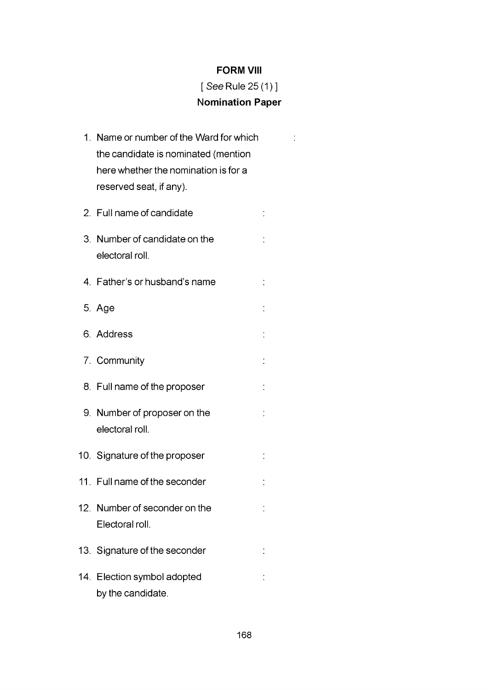## **FORM VIII**

## *[See* Rule 25(1)] **Nomination Paper**

 $\ddot{\cdot}$ 

1. Name or number of the Ward for which the candidate is nominated (mention here whether the nomination is for a reserved seat, if any). 2. Full name of candidate  $\frac{1}{2}$ 3. Number of candidate on the  $\ddot{\cdot}$ electoral roll. 4. Father's or husband's name  $\ddot{\cdot}$ 5. Age 6. Address 7. Community 8. Full name of the proposer 9. Number of proposer on the electoral roll. 10. Signature of the proposer 11. Full name of the seconder 12. Number of seconder on the  $\dot{\mathbb{I}}$ Electoral roll. 13. Signature of the seconder  $\frac{1}{2}$ 14. Election symbol adopted  $\dot{\phantom{a}}$ by the candidate.